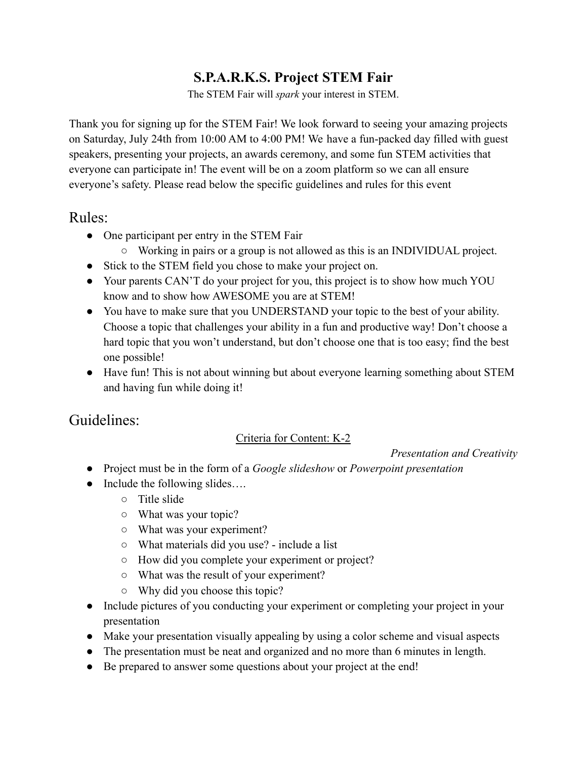# **S.P.A.R.K.S. Project STEM Fair**

The STEM Fair will *spark* your interest in STEM.

Thank you for signing up for the STEM Fair! We look forward to seeing your amazing projects on Saturday, July 24th from 10:00 AM to 4:00 PM! We have a fun-packed day filled with guest speakers, presenting your projects, an awards ceremony, and some fun STEM activities that everyone can participate in! The event will be on a zoom platform so we can all ensure everyone's safety. Please read below the specific guidelines and rules for this event

## Rules:

- One participant per entry in the STEM Fair
	- Working in pairs or a group is not allowed as this is an INDIVIDUAL project.
- Stick to the STEM field you chose to make your project on.
- Your parents CAN'T do your project for you, this project is to show how much YOU know and to show how AWESOME you are at STEM!
- You have to make sure that you UNDERSTAND your topic to the best of your ability. Choose a topic that challenges your ability in a fun and productive way! Don't choose a hard topic that you won't understand, but don't choose one that is too easy; find the best one possible!
- Have fun! This is not about winning but about everyone learning something about STEM and having fun while doing it!

## Guidelines:

## Criteria for Content: K-2

*Presentation and Creativity*

- Project must be in the form of a *Google slideshow* or *Powerpoint presentation*
- $\bullet$  Include the following slides...
	- Title slide
	- What was your topic?
	- What was your experiment?
	- What materials did you use? include a list
	- How did you complete your experiment or project?
	- What was the result of your experiment?
	- Why did you choose this topic?
- Include pictures of you conducting your experiment or completing your project in your presentation
- Make your presentation visually appealing by using a color scheme and visual aspects
- The presentation must be neat and organized and no more than 6 minutes in length.
- Be prepared to answer some questions about your project at the end!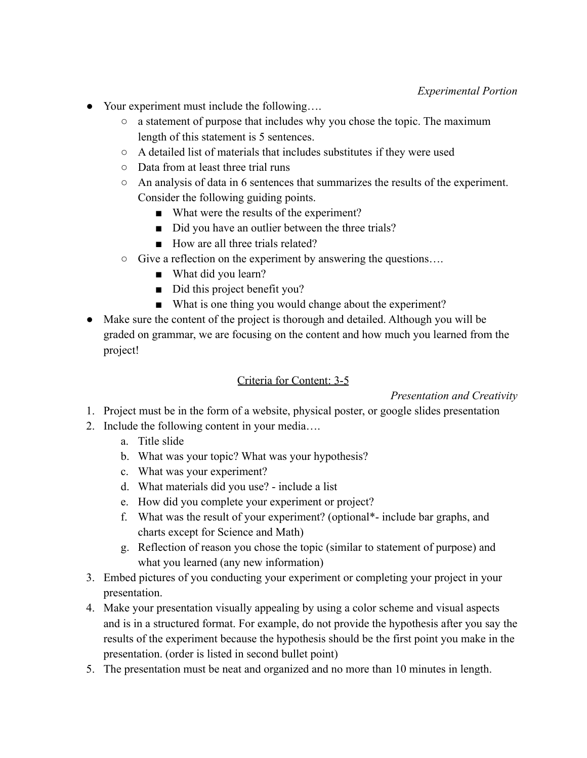- Your experiment must include the following....
	- a statement of purpose that includes why you chose the topic. The maximum length of this statement is 5 sentences.
	- A detailed list of materials that includes substitutes if they were used
	- Data from at least three trial runs
	- An analysis of data in 6 sentences that summarizes the results of the experiment. Consider the following guiding points.
		- What were the results of the experiment?
		- Did you have an outlier between the three trials?
		- How are all three trials related?
	- Give a reflection on the experiment by answering the questions….
		- What did you learn?
		- Did this project benefit you?
		- What is one thing you would change about the experiment?
- Make sure the content of the project is thorough and detailed. Although you will be graded on grammar, we are focusing on the content and how much you learned from the project!

#### Criteria for Content: 3-5

*Presentation and Creativity*

- 1. Project must be in the form of a website, physical poster, or google slides presentation
- 2. Include the following content in your media….
	- a. Title slide
	- b. What was your topic? What was your hypothesis?
	- c. What was your experiment?
	- d. What materials did you use? include a list
	- e. How did you complete your experiment or project?
	- f. What was the result of your experiment? (optional\*- include bar graphs, and charts except for Science and Math)
	- g. Reflection of reason you chose the topic (similar to statement of purpose) and what you learned (any new information)
- 3. Embed pictures of you conducting your experiment or completing your project in your presentation.
- 4. Make your presentation visually appealing by using a color scheme and visual aspects and is in a structured format. For example, do not provide the hypothesis after you say the results of the experiment because the hypothesis should be the first point you make in the presentation. (order is listed in second bullet point)
- 5. The presentation must be neat and organized and no more than 10 minutes in length.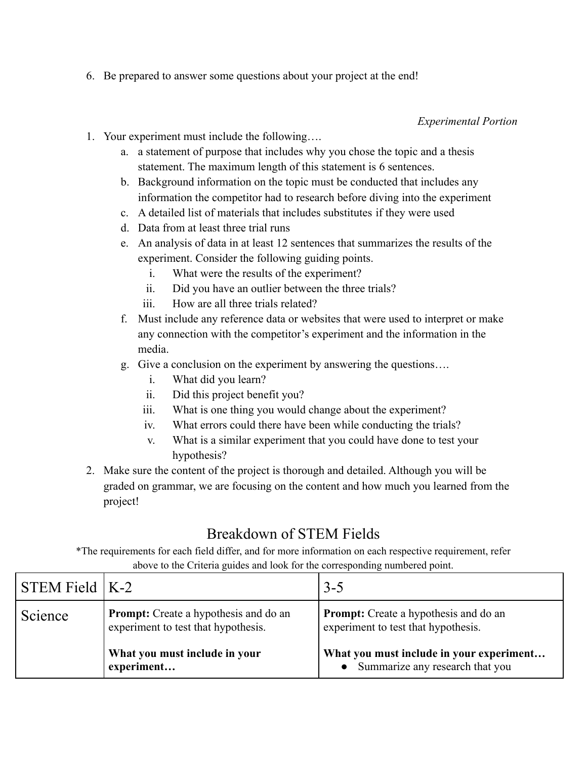6. Be prepared to answer some questions about your project at the end!

### *Experimental Portion*

- 1. Your experiment must include the following….
	- a. a statement of purpose that includes why you chose the topic and a thesis statement. The maximum length of this statement is 6 sentences.
	- b. Background information on the topic must be conducted that includes any information the competitor had to research before diving into the experiment
	- c. A detailed list of materials that includes substitutes if they were used
	- d. Data from at least three trial runs
	- e. An analysis of data in at least 12 sentences that summarizes the results of the experiment. Consider the following guiding points.
		- i. What were the results of the experiment?
		- ii. Did you have an outlier between the three trials?
		- iii. How are all three trials related?
	- f. Must include any reference data or websites that were used to interpret or make any connection with the competitor's experiment and the information in the media.
	- g. Give a conclusion on the experiment by answering the questions….
		- i. What did you learn?
		- ii. Did this project benefit you?
		- iii. What is one thing you would change about the experiment?
		- iv. What errors could there have been while conducting the trials?
		- v. What is a similar experiment that you could have done to test your hypothesis?
- 2. Make sure the content of the project is thorough and detailed. Although you will be graded on grammar, we are focusing on the content and how much you learned from the project!

# Breakdown of STEM Fields

\*The requirements for each field differ, and for more information on each respective requirement, refer above to the Criteria guides and look for the corresponding numbered point.

| $STEM$ Field $K-2$ |                                                                                     | $3 - 5$                                                                             |
|--------------------|-------------------------------------------------------------------------------------|-------------------------------------------------------------------------------------|
| Science            | <b>Prompt:</b> Create a hypothesis and do an<br>experiment to test that hypothesis. | <b>Prompt:</b> Create a hypothesis and do an<br>experiment to test that hypothesis. |
|                    | What you must include in your<br>experiment                                         | What you must include in your experiment<br>Summarize any research that you         |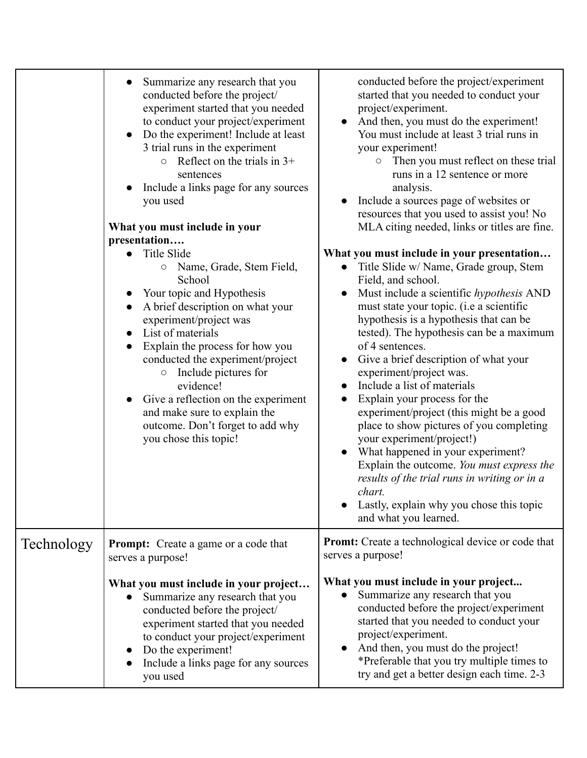|            | Summarize any research that you<br>conducted before the project/<br>experiment started that you needed<br>to conduct your project/experiment<br>Do the experiment! Include at least<br>3 trial runs in the experiment<br>Reflect on the trials in $3+$<br>$\circ$<br>sentences<br>Include a links page for any sources<br>you used<br>What you must include in your<br>presentation<br><b>Title Slide</b><br>Name, Grade, Stem Field,<br>$\bigcirc$<br>School<br>Your topic and Hypothesis<br>A brief description on what your<br>experiment/project was<br>List of materials<br>$\bullet$<br>Explain the process for how you<br>conducted the experiment/project<br>Include pictures for<br>$\bigcirc$<br>evidence!<br>Give a reflection on the experiment<br>and make sure to explain the<br>outcome. Don't forget to add why<br>you chose this topic! | conducted before the project/experiment<br>started that you needed to conduct your<br>project/experiment.<br>And then, you must do the experiment!<br>You must include at least 3 trial runs in<br>your experiment!<br>Then you must reflect on these trial<br>$\circ$<br>runs in a 12 sentence or more<br>analysis.<br>Include a sources page of websites or<br>resources that you used to assist you! No<br>MLA citing needed, links or titles are fine.<br>What you must include in your presentation<br>Title Slide w/ Name, Grade group, Stem<br>Field, and school.<br>Must include a scientific hypothesis AND<br>must state your topic. (i.e a scientific<br>hypothesis is a hypothesis that can be<br>tested). The hypothesis can be a maximum<br>of 4 sentences.<br>Give a brief description of what your<br>experiment/project was.<br>Include a list of materials<br>$\bullet$<br>Explain your process for the<br>experiment/project (this might be a good<br>place to show pictures of you completing<br>your experiment/project!)<br>What happened in your experiment?<br>Explain the outcome. You must express the<br>results of the trial runs in writing or in a<br>chart.<br>Lastly, explain why you chose this topic<br>and what you learned. |
|------------|----------------------------------------------------------------------------------------------------------------------------------------------------------------------------------------------------------------------------------------------------------------------------------------------------------------------------------------------------------------------------------------------------------------------------------------------------------------------------------------------------------------------------------------------------------------------------------------------------------------------------------------------------------------------------------------------------------------------------------------------------------------------------------------------------------------------------------------------------------|-----------------------------------------------------------------------------------------------------------------------------------------------------------------------------------------------------------------------------------------------------------------------------------------------------------------------------------------------------------------------------------------------------------------------------------------------------------------------------------------------------------------------------------------------------------------------------------------------------------------------------------------------------------------------------------------------------------------------------------------------------------------------------------------------------------------------------------------------------------------------------------------------------------------------------------------------------------------------------------------------------------------------------------------------------------------------------------------------------------------------------------------------------------------------------------------------------------------------------------------------------------------|
| Technology | <b>Prompt:</b> Create a game or a code that<br>serves a purpose!                                                                                                                                                                                                                                                                                                                                                                                                                                                                                                                                                                                                                                                                                                                                                                                         | <b>Promt:</b> Create a technological device or code that<br>serves a purpose!                                                                                                                                                                                                                                                                                                                                                                                                                                                                                                                                                                                                                                                                                                                                                                                                                                                                                                                                                                                                                                                                                                                                                                                   |
|            | What you must include in your project<br>Summarize any research that you<br>conducted before the project/<br>experiment started that you needed<br>to conduct your project/experiment<br>Do the experiment!<br>Include a links page for any sources<br>you used                                                                                                                                                                                                                                                                                                                                                                                                                                                                                                                                                                                          | What you must include in your project<br>Summarize any research that you<br>conducted before the project/experiment<br>started that you needed to conduct your<br>project/experiment.<br>And then, you must do the project!<br>*Preferable that you try multiple times to<br>try and get a better design each time. 2-3                                                                                                                                                                                                                                                                                                                                                                                                                                                                                                                                                                                                                                                                                                                                                                                                                                                                                                                                         |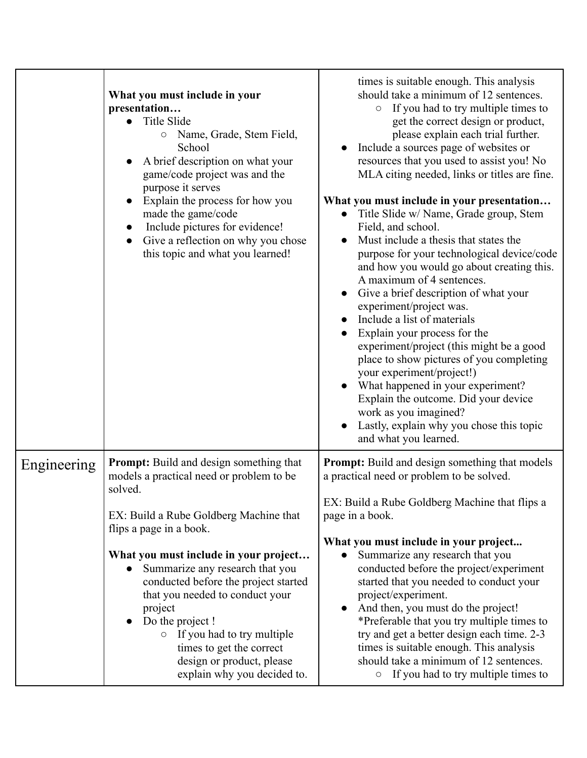|             | What you must include in your<br>presentation<br>Title Slide<br>$\bullet$<br>O Name, Grade, Stem Field,<br>School<br>A brief description on what your<br>game/code project was and the<br>purpose it serves<br>Explain the process for how you<br>made the game/code<br>Include pictures for evidence!<br>Give a reflection on why you chose<br>this topic and what you learned!                                                                                                                            | times is suitable enough. This analysis<br>should take a minimum of 12 sentences.<br>If you had to try multiple times to<br>$\circ$<br>get the correct design or product,<br>please explain each trial further.<br>Include a sources page of websites or<br>resources that you used to assist you! No<br>MLA citing needed, links or titles are fine.<br>What you must include in your presentation<br>Title Slide w/ Name, Grade group, Stem<br>$\bullet$<br>Field, and school.<br>Must include a thesis that states the<br>purpose for your technological device/code<br>and how you would go about creating this.<br>A maximum of 4 sentences.<br>Give a brief description of what your<br>experiment/project was.<br>Include a list of materials<br>Explain your process for the<br>experiment/project (this might be a good<br>place to show pictures of you completing<br>your experiment/project!)<br>What happened in your experiment?<br>Explain the outcome. Did your device<br>work as you imagined?<br>Lastly, explain why you chose this topic<br>and what you learned. |
|-------------|-------------------------------------------------------------------------------------------------------------------------------------------------------------------------------------------------------------------------------------------------------------------------------------------------------------------------------------------------------------------------------------------------------------------------------------------------------------------------------------------------------------|--------------------------------------------------------------------------------------------------------------------------------------------------------------------------------------------------------------------------------------------------------------------------------------------------------------------------------------------------------------------------------------------------------------------------------------------------------------------------------------------------------------------------------------------------------------------------------------------------------------------------------------------------------------------------------------------------------------------------------------------------------------------------------------------------------------------------------------------------------------------------------------------------------------------------------------------------------------------------------------------------------------------------------------------------------------------------------------|
| Engineering | <b>Prompt:</b> Build and design something that<br>models a practical need or problem to be<br>solved.<br>EX: Build a Rube Goldberg Machine that<br>flips a page in a book.<br>What you must include in your project<br>Summarize any research that you<br>$\bullet$<br>conducted before the project started<br>that you needed to conduct your<br>project<br>Do the project !<br>$\circ$ If you had to try multiple<br>times to get the correct<br>design or product, please<br>explain why you decided to. | <b>Prompt:</b> Build and design something that models<br>a practical need or problem to be solved.<br>EX: Build a Rube Goldberg Machine that flips a<br>page in a book.<br>What you must include in your project<br>Summarize any research that you<br>conducted before the project/experiment<br>started that you needed to conduct your<br>project/experiment.<br>And then, you must do the project!<br>*Preferable that you try multiple times to<br>try and get a better design each time. 2-3<br>times is suitable enough. This analysis<br>should take a minimum of 12 sentences.<br>o If you had to try multiple times to                                                                                                                                                                                                                                                                                                                                                                                                                                                     |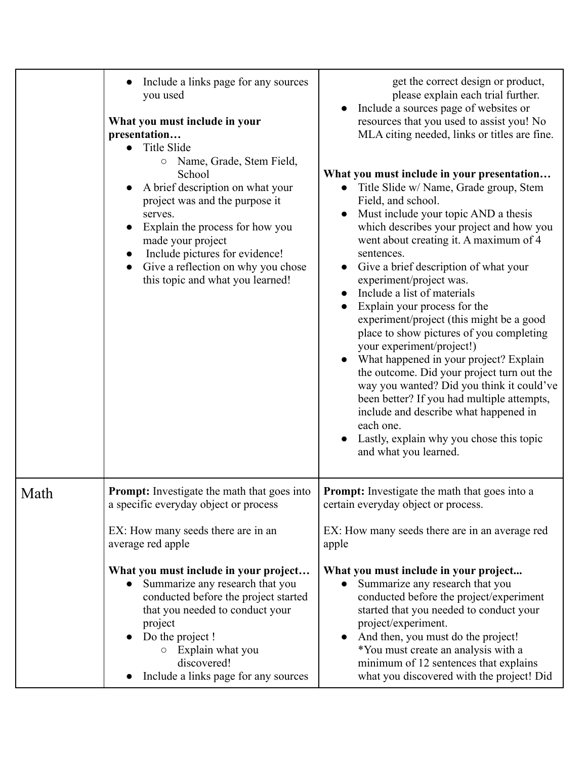|      | Include a links page for any sources<br>you used<br>What you must include in your<br>presentation<br><b>Title Slide</b><br>Name, Grade, Stem Field,<br>$\bigcirc$<br>School<br>A brief description on what your<br>project was and the purpose it<br>serves.<br>Explain the process for how you<br>made your project<br>Include pictures for evidence!<br>Give a reflection on why you chose<br>this topic and what you learned! | get the correct design or product,<br>please explain each trial further.<br>Include a sources page of websites or<br>resources that you used to assist you! No<br>MLA citing needed, links or titles are fine.<br>What you must include in your presentation<br>Title Slide w/ Name, Grade group, Stem<br>Field, and school.<br>Must include your topic AND a thesis<br>which describes your project and how you<br>went about creating it. A maximum of 4<br>sentences.<br>Give a brief description of what your<br>experiment/project was.<br>Include a list of materials<br>Explain your process for the<br>experiment/project (this might be a good<br>place to show pictures of you completing<br>your experiment/project!)<br>What happened in your project? Explain<br>the outcome. Did your project turn out the<br>way you wanted? Did you think it could've<br>been better? If you had multiple attempts,<br>include and describe what happened in<br>each one.<br>Lastly, explain why you chose this topic<br>and what you learned. |
|------|----------------------------------------------------------------------------------------------------------------------------------------------------------------------------------------------------------------------------------------------------------------------------------------------------------------------------------------------------------------------------------------------------------------------------------|------------------------------------------------------------------------------------------------------------------------------------------------------------------------------------------------------------------------------------------------------------------------------------------------------------------------------------------------------------------------------------------------------------------------------------------------------------------------------------------------------------------------------------------------------------------------------------------------------------------------------------------------------------------------------------------------------------------------------------------------------------------------------------------------------------------------------------------------------------------------------------------------------------------------------------------------------------------------------------------------------------------------------------------------|
| Math | <b>Prompt:</b> Investigate the math that goes into<br>a specific everyday object or process<br>EX: How many seeds there are in an<br>average red apple                                                                                                                                                                                                                                                                           | <b>Prompt:</b> Investigate the math that goes into a<br>certain everyday object or process.<br>EX: How many seeds there are in an average red<br>apple                                                                                                                                                                                                                                                                                                                                                                                                                                                                                                                                                                                                                                                                                                                                                                                                                                                                                         |
|      | What you must include in your project<br>Summarize any research that you<br>conducted before the project started<br>that you needed to conduct your<br>project<br>Do the project !<br>Explain what you<br>discovered!<br>Include a links page for any sources                                                                                                                                                                    | What you must include in your project<br>Summarize any research that you<br>conducted before the project/experiment<br>started that you needed to conduct your<br>project/experiment.<br>And then, you must do the project!<br>*You must create an analysis with a<br>minimum of 12 sentences that explains<br>what you discovered with the project! Did                                                                                                                                                                                                                                                                                                                                                                                                                                                                                                                                                                                                                                                                                       |